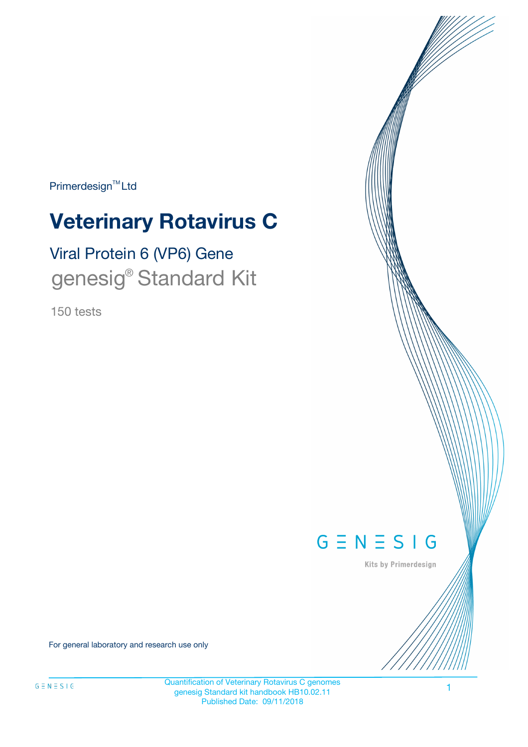Primerdesign<sup>™</sup>Ltd

# **Veterinary Rotavirus C**

# Viral Protein 6 (VP6) Gene genesig<sup>®</sup> Standard Kit

150 tests



Kits by Primerdesign

For general laboratory and research use only

Quantification of Veterinary Rotavirus C genomes genesig Standard kit handbook HB10.02.11 Published Date: 09/11/2018

1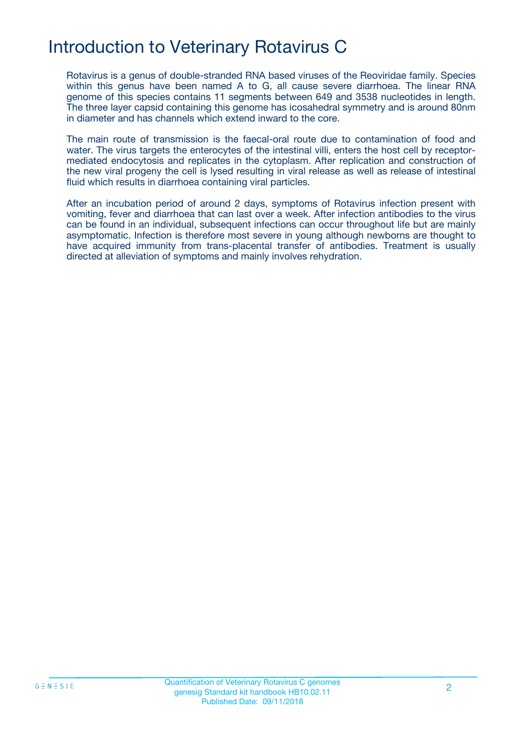# Introduction to Veterinary Rotavirus C

Rotavirus is a genus of double-stranded RNA based viruses of the Reoviridae family. Species within this genus have been named A to G, all cause severe diarrhoea. The linear RNA genome of this species contains 11 segments between 649 and 3538 nucleotides in length. The three layer capsid containing this genome has icosahedral symmetry and is around 80nm in diameter and has channels which extend inward to the core.

The main route of transmission is the faecal-oral route due to contamination of food and water. The virus targets the enterocytes of the intestinal villi, enters the host cell by receptormediated endocytosis and replicates in the cytoplasm. After replication and construction of the new viral progeny the cell is lysed resulting in viral release as well as release of intestinal fluid which results in diarrhoea containing viral particles.

After an incubation period of around 2 days, symptoms of Rotavirus infection present with vomiting, fever and diarrhoea that can last over a week. After infection antibodies to the virus can be found in an individual, subsequent infections can occur throughout life but are mainly asymptomatic. Infection is therefore most severe in young although newborns are thought to have acquired immunity from trans-placental transfer of antibodies. Treatment is usually directed at alleviation of symptoms and mainly involves rehydration.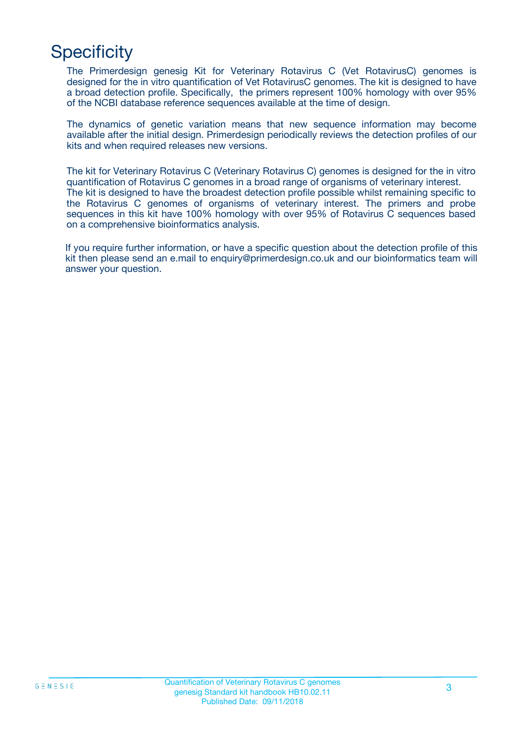# **Specificity**

The Primerdesign genesig Kit for Veterinary Rotavirus C (Vet RotavirusC) genomes is designed for the in vitro quantification of Vet RotavirusC genomes. The kit is designed to have a broad detection profile. Specifically, the primers represent 100% homology with over 95% of the NCBI database reference sequences available at the time of design.

The dynamics of genetic variation means that new sequence information may become available after the initial design. Primerdesign periodically reviews the detection profiles of our kits and when required releases new versions.

The kit for Veterinary Rotavirus C (Veterinary Rotavirus C) genomes is designed for the in vitro quantification of Rotavirus C genomes in a broad range of organisms of veterinary interest. The kit is designed to have the broadest detection profile possible whilst remaining specific to the Rotavirus C genomes of organisms of veterinary interest. The primers and probe sequences in this kit have 100% homology with over 95% of Rotavirus C sequences based on a comprehensive bioinformatics analysis.

If you require further information, or have a specific question about the detection profile of this kit then please send an e.mail to enquiry@primerdesign.co.uk and our bioinformatics team will answer your question.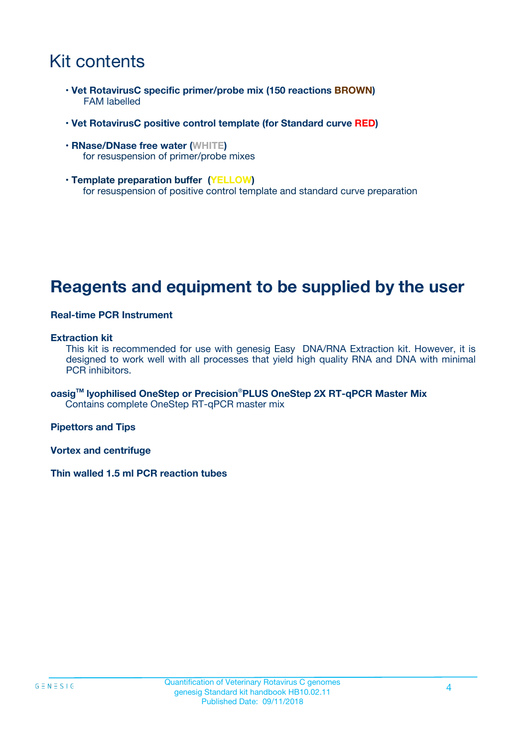# Kit contents

- **Vet RotavirusC specific primer/probe mix (150 reactions BROWN)** FAM labelled
- **Vet RotavirusC positive control template (for Standard curve RED)**
- **RNase/DNase free water (WHITE)** for resuspension of primer/probe mixes
- **Template preparation buffer (YELLOW)** for resuspension of positive control template and standard curve preparation

## **Reagents and equipment to be supplied by the user**

#### **Real-time PCR Instrument**

#### **Extraction kit**

This kit is recommended for use with genesig Easy DNA/RNA Extraction kit. However, it is designed to work well with all processes that yield high quality RNA and DNA with minimal PCR inhibitors.

**oasigTM lyophilised OneStep or Precision**®**PLUS OneStep 2X RT-qPCR Master Mix** Contains complete OneStep RT-qPCR master mix

**Pipettors and Tips**

**Vortex and centrifuge**

**Thin walled 1.5 ml PCR reaction tubes**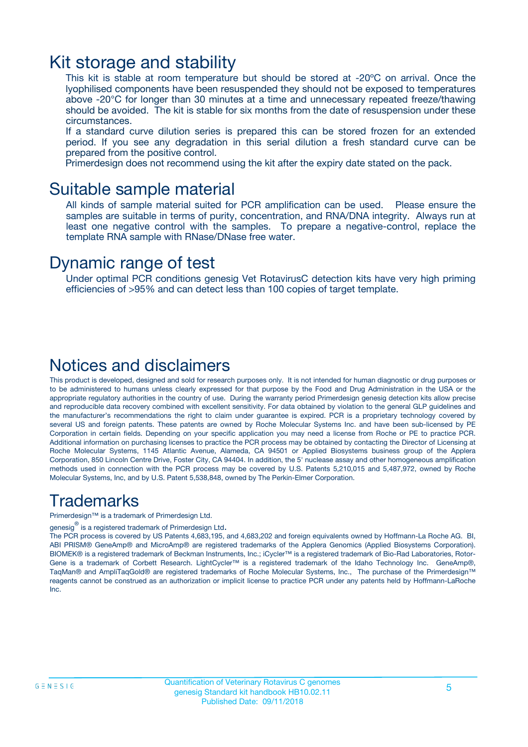### Kit storage and stability

This kit is stable at room temperature but should be stored at -20ºC on arrival. Once the lyophilised components have been resuspended they should not be exposed to temperatures above -20°C for longer than 30 minutes at a time and unnecessary repeated freeze/thawing should be avoided. The kit is stable for six months from the date of resuspension under these circumstances.

If a standard curve dilution series is prepared this can be stored frozen for an extended period. If you see any degradation in this serial dilution a fresh standard curve can be prepared from the positive control.

Primerdesign does not recommend using the kit after the expiry date stated on the pack.

### Suitable sample material

All kinds of sample material suited for PCR amplification can be used. Please ensure the samples are suitable in terms of purity, concentration, and RNA/DNA integrity. Always run at least one negative control with the samples. To prepare a negative-control, replace the template RNA sample with RNase/DNase free water.

### Dynamic range of test

Under optimal PCR conditions genesig Vet RotavirusC detection kits have very high priming efficiencies of >95% and can detect less than 100 copies of target template.

### Notices and disclaimers

This product is developed, designed and sold for research purposes only. It is not intended for human diagnostic or drug purposes or to be administered to humans unless clearly expressed for that purpose by the Food and Drug Administration in the USA or the appropriate regulatory authorities in the country of use. During the warranty period Primerdesign genesig detection kits allow precise and reproducible data recovery combined with excellent sensitivity. For data obtained by violation to the general GLP guidelines and the manufacturer's recommendations the right to claim under guarantee is expired. PCR is a proprietary technology covered by several US and foreign patents. These patents are owned by Roche Molecular Systems Inc. and have been sub-licensed by PE Corporation in certain fields. Depending on your specific application you may need a license from Roche or PE to practice PCR. Additional information on purchasing licenses to practice the PCR process may be obtained by contacting the Director of Licensing at Roche Molecular Systems, 1145 Atlantic Avenue, Alameda, CA 94501 or Applied Biosystems business group of the Applera Corporation, 850 Lincoln Centre Drive, Foster City, CA 94404. In addition, the 5' nuclease assay and other homogeneous amplification methods used in connection with the PCR process may be covered by U.S. Patents 5,210,015 and 5,487,972, owned by Roche Molecular Systems, Inc, and by U.S. Patent 5,538,848, owned by The Perkin-Elmer Corporation.

### Trademarks

Primerdesign™ is a trademark of Primerdesign Ltd.

genesig $^\circledR$  is a registered trademark of Primerdesign Ltd.

The PCR process is covered by US Patents 4,683,195, and 4,683,202 and foreign equivalents owned by Hoffmann-La Roche AG. BI, ABI PRISM® GeneAmp® and MicroAmp® are registered trademarks of the Applera Genomics (Applied Biosystems Corporation). BIOMEK® is a registered trademark of Beckman Instruments, Inc.; iCycler™ is a registered trademark of Bio-Rad Laboratories, Rotor-Gene is a trademark of Corbett Research. LightCycler™ is a registered trademark of the Idaho Technology Inc. GeneAmp®, TaqMan® and AmpliTaqGold® are registered trademarks of Roche Molecular Systems, Inc., The purchase of the Primerdesign™ reagents cannot be construed as an authorization or implicit license to practice PCR under any patents held by Hoffmann-LaRoche Inc.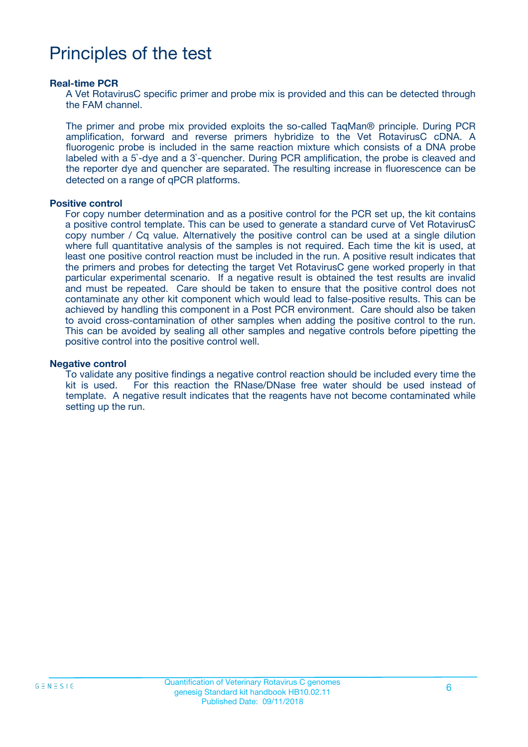# Principles of the test

#### **Real-time PCR**

A Vet RotavirusC specific primer and probe mix is provided and this can be detected through the FAM channel.

The primer and probe mix provided exploits the so-called TaqMan® principle. During PCR amplification, forward and reverse primers hybridize to the Vet RotavirusC cDNA. A fluorogenic probe is included in the same reaction mixture which consists of a DNA probe labeled with a 5`-dye and a 3`-quencher. During PCR amplification, the probe is cleaved and the reporter dye and quencher are separated. The resulting increase in fluorescence can be detected on a range of qPCR platforms.

#### **Positive control**

For copy number determination and as a positive control for the PCR set up, the kit contains a positive control template. This can be used to generate a standard curve of Vet RotavirusC copy number / Cq value. Alternatively the positive control can be used at a single dilution where full quantitative analysis of the samples is not required. Each time the kit is used, at least one positive control reaction must be included in the run. A positive result indicates that the primers and probes for detecting the target Vet RotavirusC gene worked properly in that particular experimental scenario. If a negative result is obtained the test results are invalid and must be repeated. Care should be taken to ensure that the positive control does not contaminate any other kit component which would lead to false-positive results. This can be achieved by handling this component in a Post PCR environment. Care should also be taken to avoid cross-contamination of other samples when adding the positive control to the run. This can be avoided by sealing all other samples and negative controls before pipetting the positive control into the positive control well.

#### **Negative control**

To validate any positive findings a negative control reaction should be included every time the kit is used. For this reaction the RNase/DNase free water should be used instead of template. A negative result indicates that the reagents have not become contaminated while setting up the run.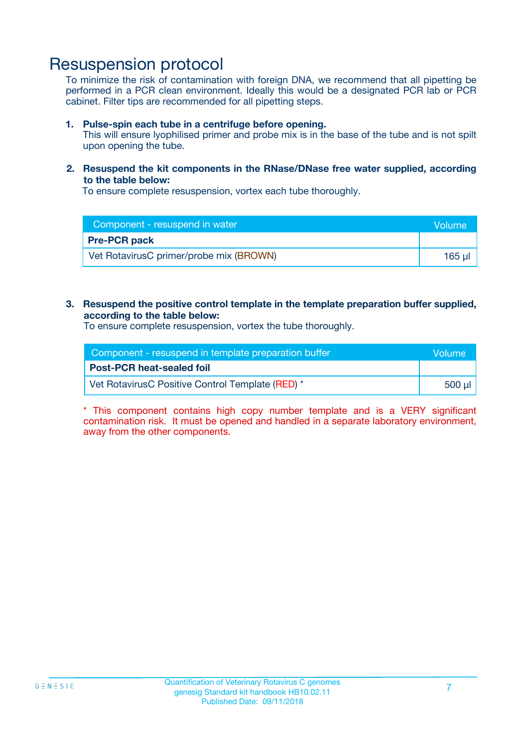### Resuspension protocol

To minimize the risk of contamination with foreign DNA, we recommend that all pipetting be performed in a PCR clean environment. Ideally this would be a designated PCR lab or PCR cabinet. Filter tips are recommended for all pipetting steps.

#### **1. Pulse-spin each tube in a centrifuge before opening.**

This will ensure lyophilised primer and probe mix is in the base of the tube and is not spilt upon opening the tube.

#### **2. Resuspend the kit components in the RNase/DNase free water supplied, according to the table below:**

To ensure complete resuspension, vortex each tube thoroughly.

| Component - resuspend in water          | <b>Volume</b> |
|-----------------------------------------|---------------|
| <b>Pre-PCR pack</b>                     |               |
| Vet RotavirusC primer/probe mix (BROWN) | 165 ul        |

#### **3. Resuspend the positive control template in the template preparation buffer supplied, according to the table below:**

To ensure complete resuspension, vortex the tube thoroughly.

| Component - resuspend in template preparation buffer |        |  |
|------------------------------------------------------|--------|--|
| <b>Post-PCR heat-sealed foil</b>                     |        |  |
| Vet RotavirusC Positive Control Template (RED) *     | 500 µl |  |

\* This component contains high copy number template and is a VERY significant contamination risk. It must be opened and handled in a separate laboratory environment, away from the other components.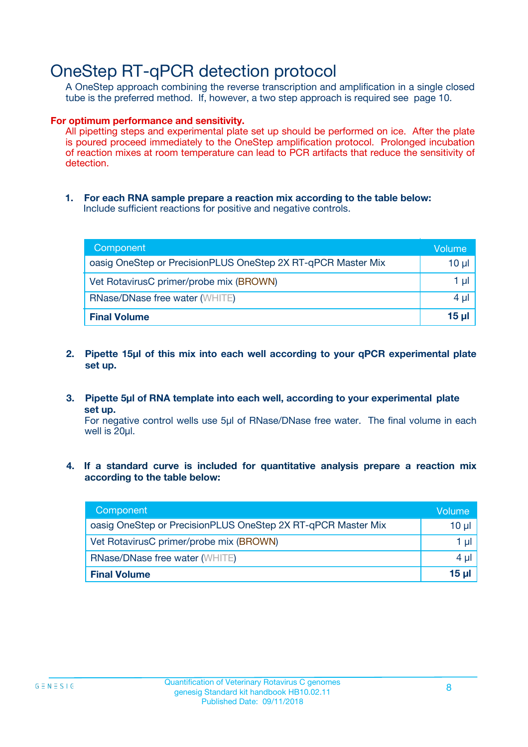## OneStep RT-qPCR detection protocol

A OneStep approach combining the reverse transcription and amplification in a single closed tube is the preferred method. If, however, a two step approach is required see page 10.

#### **For optimum performance and sensitivity.**

All pipetting steps and experimental plate set up should be performed on ice. After the plate is poured proceed immediately to the OneStep amplification protocol. Prolonged incubation of reaction mixes at room temperature can lead to PCR artifacts that reduce the sensitivity of detection.

**1. For each RNA sample prepare a reaction mix according to the table below:** Include sufficient reactions for positive and negative controls.

| Component                                                    | Volume       |
|--------------------------------------------------------------|--------------|
| oasig OneStep or PrecisionPLUS OneStep 2X RT-qPCR Master Mix | $10 \mu$     |
| Vet RotavirusC primer/probe mix (BROWN)                      | 1 µI         |
| <b>RNase/DNase free water (WHITE)</b>                        | $4 \mu$      |
| <b>Final Volume</b>                                          | <u>15 µl</u> |

- **2. Pipette 15µl of this mix into each well according to your qPCR experimental plate set up.**
- **3. Pipette 5µl of RNA template into each well, according to your experimental plate set up.**

For negative control wells use 5µl of RNase/DNase free water. The final volume in each well is 20ul.

**4. If a standard curve is included for quantitative analysis prepare a reaction mix according to the table below:**

| Component                                                    | Volume   |
|--------------------------------------------------------------|----------|
| oasig OneStep or PrecisionPLUS OneStep 2X RT-qPCR Master Mix | 10 µl    |
| Vet RotavirusC primer/probe mix (BROWN)                      | 1 ul     |
| <b>RNase/DNase free water (WHITE)</b>                        | $4 \mu$  |
| <b>Final Volume</b>                                          | $15 \mu$ |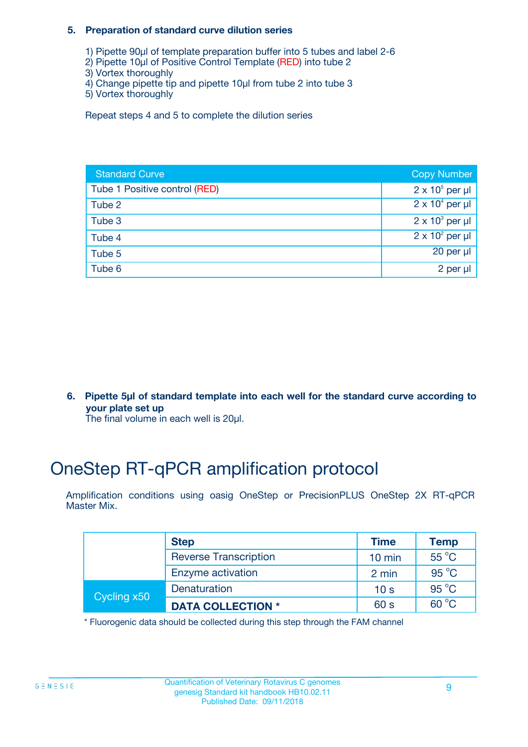#### **5. Preparation of standard curve dilution series**

- 1) Pipette 90µl of template preparation buffer into 5 tubes and label 2-6
- 2) Pipette 10µl of Positive Control Template (RED) into tube 2
- 3) Vortex thoroughly
- 4) Change pipette tip and pipette 10µl from tube 2 into tube 3
- 5) Vortex thoroughly

Repeat steps 4 and 5 to complete the dilution series

| <b>Standard Curve</b>         | <b>Copy Number</b>     |
|-------------------------------|------------------------|
| Tube 1 Positive control (RED) | $2 \times 10^5$ per µl |
| Tube 2                        | $2 \times 10^4$ per µl |
| Tube 3                        | $2 \times 10^3$ per µl |
| Tube 4                        | $2 \times 10^2$ per µl |
| Tube 5                        | 20 per $\mu$           |
| Tube 6                        | 2 per µl               |

**6. Pipette 5µl of standard template into each well for the standard curve according to your plate set up**

The final volume in each well is 20ul.

# OneStep RT-qPCR amplification protocol

Amplification conditions using oasig OneStep or PrecisionPLUS OneStep 2X RT-qPCR Master Mix.

|             | <b>Step</b>                  | <b>Time</b>      | <b>Temp</b>    |
|-------------|------------------------------|------------------|----------------|
|             | <b>Reverse Transcription</b> | $10 \text{ min}$ | $55^{\circ}$ C |
|             | Enzyme activation            | 2 min            | $95^{\circ}$ C |
| Cycling x50 | Denaturation                 | 10 <sub>s</sub>  | $95^{\circ}$ C |
|             | <b>DATA COLLECTION *</b>     | 60 s             | $60^{\circ}$ C |

\* Fluorogenic data should be collected during this step through the FAM channel